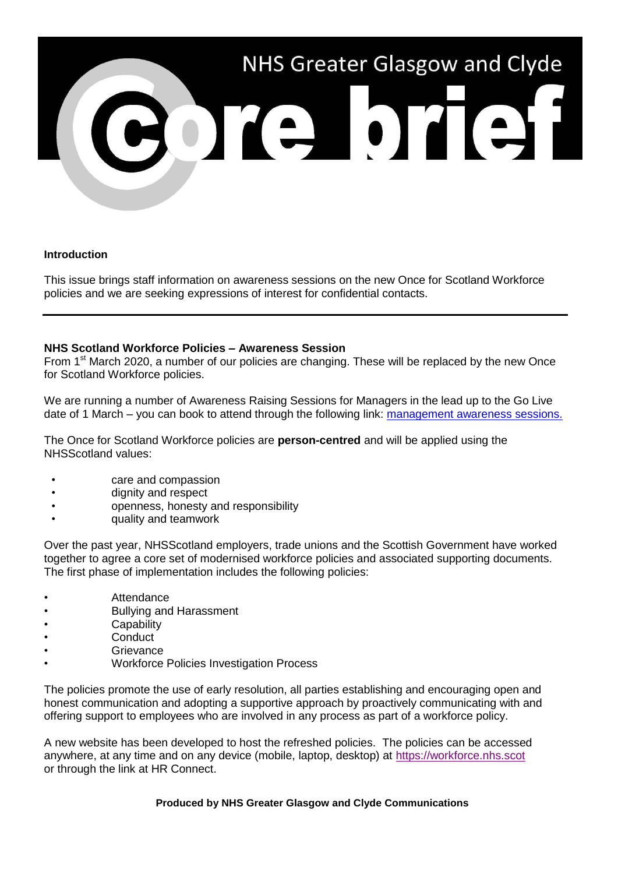

## **Introduction**

This issue brings staff information on awareness sessions on the new Once for Scotland Workforce policies and we are seeking expressions of interest for confidential contacts.

## **NHS Scotland Workforce Policies – Awareness Session**

From 1<sup>st</sup> March 2020, a number of our policies are changing. These will be replaced by the new Once for Scotland Workforce policies.

We are running a number of Awareness Raising Sessions for Managers in the lead up to the Go Live date of 1 March – you can book to attend through the following link: [management awareness sessions.](https://www.nhsggc.org.uk/media/258338/once-for-scotland-sessions-06-02-20-2.pdf)

The Once for Scotland Workforce policies are **person-centred** and will be applied using the NHSScotland values:

- care and compassion
- dignity and respect
- openness, honesty and responsibility
- quality and teamwork

Over the past year, NHSScotland employers, trade unions and the Scottish Government have worked together to agree a core set of modernised workforce policies and associated supporting documents. The first phase of implementation includes the following policies:

- Attendance
- Bullying and Harassment
- **Capability**
- Conduct<sup>1</sup>
- Grievance
- Workforce Policies Investigation Process

The policies promote the use of early resolution, all parties establishing and encouraging open and honest communication and adopting a supportive approach by proactively communicating with and offering support to employees who are involved in any process as part of a workforce policy.

A new website has been developed to host the refreshed policies. The policies can be accessed anywhere, at any time and on any device (mobile, laptop, desktop) at [https://workforce.nhs.scot](https://workforce.nhs.scot/) or through the link at HR Connect.

**Produced by NHS Greater Glasgow and Clyde Communications**